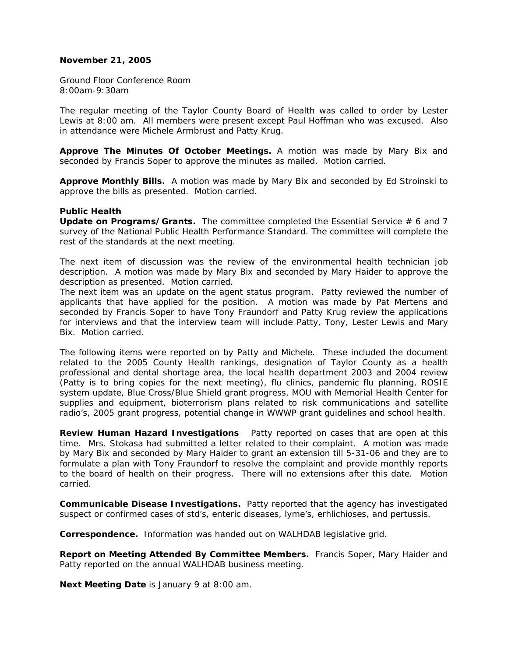### **November 21, 2005**

Ground Floor Conference Room 8:00am-9:30am

The regular meeting of the Taylor County Board of Health was called to order by Lester Lewis at 8:00 am. All members were present except Paul Hoffman who was excused. Also in attendance were Michele Armbrust and Patty Krug.

**Approve The Minutes Of October Meetings.** A motion was made by Mary Bix and seconded by Francis Soper to approve the minutes as mailed. Motion carried.

**Approve Monthly Bills.** A motion was made by Mary Bix and seconded by Ed Stroinski to approve the bills as presented. Motion carried.

#### **Public Health**

**Update on Programs/Grants.** The committee completed the Essential Service # 6 and 7 survey of the National Public Health Performance Standard. The committee will complete the rest of the standards at the next meeting.

The next item of discussion was the review of the environmental health technician job description. A motion was made by Mary Bix and seconded by Mary Haider to approve the description as presented. Motion carried.

The next item was an update on the agent status program. Patty reviewed the number of applicants that have applied for the position. A motion was made by Pat Mertens and seconded by Francis Soper to have Tony Fraundorf and Patty Krug review the applications for interviews and that the interview team will include Patty, Tony, Lester Lewis and Mary Bix. Motion carried.

The following items were reported on by Patty and Michele. These included the document related to the 2005 County Health rankings, designation of Taylor County as a health professional and dental shortage area, the local health department 2003 and 2004 review (Patty is to bring copies for the next meeting), flu clinics, pandemic flu planning, ROSIE system update, Blue Cross/Blue Shield grant progress, MOU with Memorial Health Center for supplies and equipment, bioterrorism plans related to risk communications and satellite radio's, 2005 grant progress, potential change in WWWP grant guidelines and school health.

**Review Human Hazard Investigations** Patty reported on cases that are open at this time. Mrs. Stokasa had submitted a letter related to their complaint. A motion was made by Mary Bix and seconded by Mary Haider to grant an extension till 5-31-06 and they are to formulate a plan with Tony Fraundorf to resolve the complaint and provide monthly reports to the board of health on their progress. There will no extensions after this date. Motion carried.

**Communicable Disease Investigations.** Patty reported that the agency has investigated suspect or confirmed cases of std's, enteric diseases, lyme's, erhlichioses, and pertussis.

**Correspondence.** Information was handed out on WALHDAB legislative grid.

**Report on Meeting Attended By Committee Members.** Francis Soper, Mary Haider and Patty reported on the annual WALHDAB business meeting.

**Next Meeting Date** is January 9 at 8:00 am.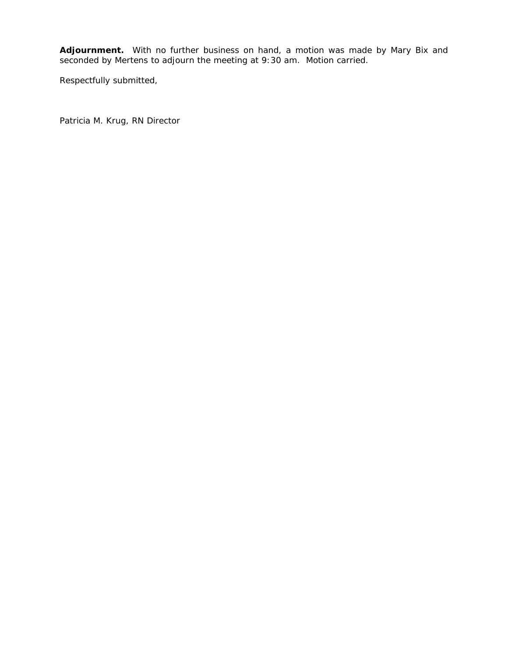**Adjournment.** With no further business on hand, a motion was made by Mary Bix and seconded by Mertens to adjourn the meeting at 9:30 am. Motion carried.

Respectfully submitted,

Patricia M. Krug, RN Director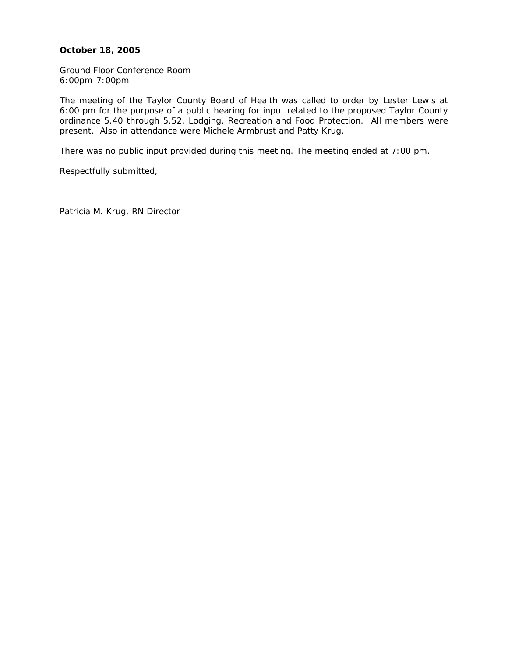## **October 18, 2005**

Ground Floor Conference Room 6:00pm-7:00pm

The meeting of the Taylor County Board of Health was called to order by Lester Lewis at 6:00 pm for the purpose of a public hearing for input related to the proposed Taylor County ordinance 5.40 through 5.52, Lodging, Recreation and Food Protection. All members were present. Also in attendance were Michele Armbrust and Patty Krug.

There was no public input provided during this meeting. The meeting ended at 7:00 pm.

Respectfully submitted,

Patricia M. Krug, RN Director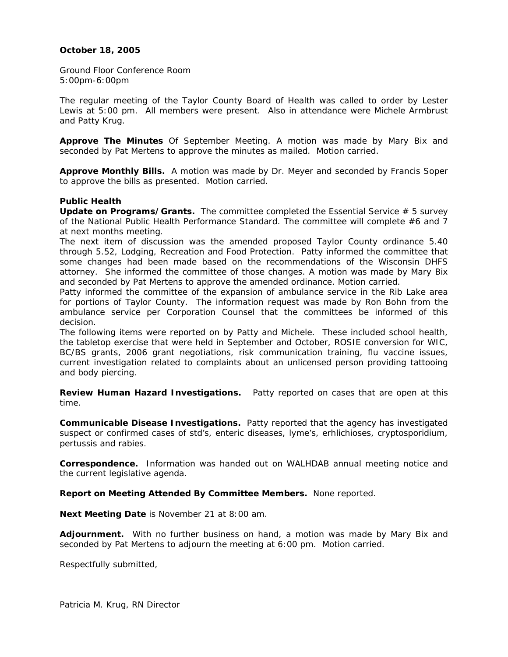## **October 18, 2005**

Ground Floor Conference Room 5:00pm-6:00pm

The regular meeting of the Taylor County Board of Health was called to order by Lester Lewis at 5:00 pm. All members were present. Also in attendance were Michele Armbrust and Patty Krug.

**Approve The Minutes** Of September Meeting. A motion was made by Mary Bix and seconded by Pat Mertens to approve the minutes as mailed. Motion carried.

**Approve Monthly Bills.** A motion was made by Dr. Meyer and seconded by Francis Soper to approve the bills as presented. Motion carried.

### **Public Health**

**Update on Programs/Grants.** The committee completed the Essential Service # 5 survey of the National Public Health Performance Standard. The committee will complete #6 and 7 at next months meeting.

The next item of discussion was the amended proposed Taylor County ordinance 5.40 through 5.52, Lodging, Recreation and Food Protection. Patty informed the committee that some changes had been made based on the recommendations of the Wisconsin DHFS attorney. She informed the committee of those changes. A motion was made by Mary Bix and seconded by Pat Mertens to approve the amended ordinance. Motion carried.

Patty informed the committee of the expansion of ambulance service in the Rib Lake area for portions of Taylor County. The information request was made by Ron Bohn from the ambulance service per Corporation Counsel that the committees be informed of this decision.

The following items were reported on by Patty and Michele. These included school health, the tabletop exercise that were held in September and October, ROSIE conversion for WIC, BC/BS grants, 2006 grant negotiations, risk communication training, flu vaccine issues, current investigation related to complaints about an unlicensed person providing tattooing and body piercing.

**Review Human Hazard Investigations.** Patty reported on cases that are open at this time.

**Communicable Disease Investigations.** Patty reported that the agency has investigated suspect or confirmed cases of std's, enteric diseases, lyme's, erhlichioses, cryptosporidium, pertussis and rabies.

**Correspondence.** Information was handed out on WALHDAB annual meeting notice and the current legislative agenda.

**Report on Meeting Attended By Committee Members.** None reported.

**Next Meeting Date** is November 21 at 8:00 am.

**Adjournment.** With no further business on hand, a motion was made by Mary Bix and seconded by Pat Mertens to adjourn the meeting at 6:00 pm. Motion carried.

Respectfully submitted,

Patricia M. Krug, RN Director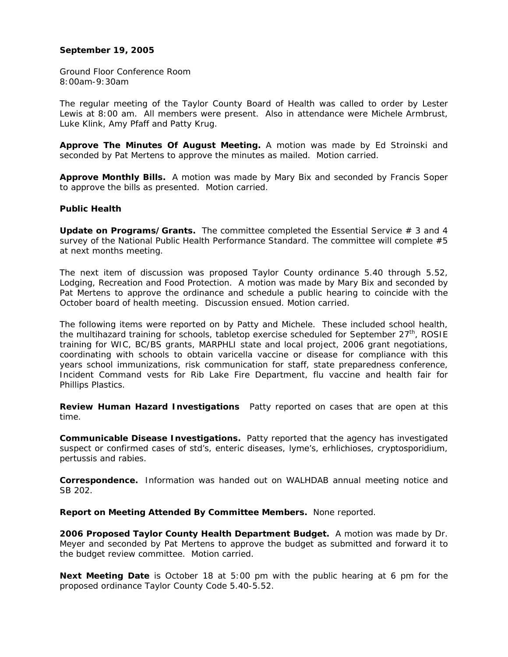### **September 19, 2005**

Ground Floor Conference Room 8:00am-9:30am

The regular meeting of the Taylor County Board of Health was called to order by Lester Lewis at 8:00 am. All members were present. Also in attendance were Michele Armbrust, Luke Klink, Amy Pfaff and Patty Krug.

**Approve The Minutes Of August Meeting.** A motion was made by Ed Stroinski and seconded by Pat Mertens to approve the minutes as mailed. Motion carried.

**Approve Monthly Bills.** A motion was made by Mary Bix and seconded by Francis Soper to approve the bills as presented. Motion carried.

### **Public Health**

**Update on Programs/Grants.** The committee completed the Essential Service # 3 and 4 survey of the National Public Health Performance Standard. The committee will complete #5 at next months meeting.

The next item of discussion was proposed Taylor County ordinance 5.40 through 5.52, Lodging, Recreation and Food Protection. A motion was made by Mary Bix and seconded by Pat Mertens to approve the ordinance and schedule a public hearing to coincide with the October board of health meeting. Discussion ensued. Motion carried.

The following items were reported on by Patty and Michele. These included school health, the multihazard training for schools, tabletop exercise scheduled for September  $27<sup>th</sup>$ , ROSIE training for WIC, BC/BS grants, MARPHLI state and local project, 2006 grant negotiations, coordinating with schools to obtain varicella vaccine or disease for compliance with this years school immunizations, risk communication for staff, state preparedness conference, Incident Command vests for Rib Lake Fire Department, flu vaccine and health fair for Phillips Plastics.

**Review Human Hazard Investigations** Patty reported on cases that are open at this time.

**Communicable Disease Investigations.** Patty reported that the agency has investigated suspect or confirmed cases of std's, enteric diseases, lyme's, erhlichioses, cryptosporidium, pertussis and rabies.

**Correspondence.** Information was handed out on WALHDAB annual meeting notice and SB 202.

**Report on Meeting Attended By Committee Members.** None reported.

**2006 Proposed Taylor County Health Department Budget.** A motion was made by Dr. Meyer and seconded by Pat Mertens to approve the budget as submitted and forward it to the budget review committee. Motion carried.

**Next Meeting Date** is October 18 at 5:00 pm with the public hearing at 6 pm for the proposed ordinance Taylor County Code 5.40-5.52.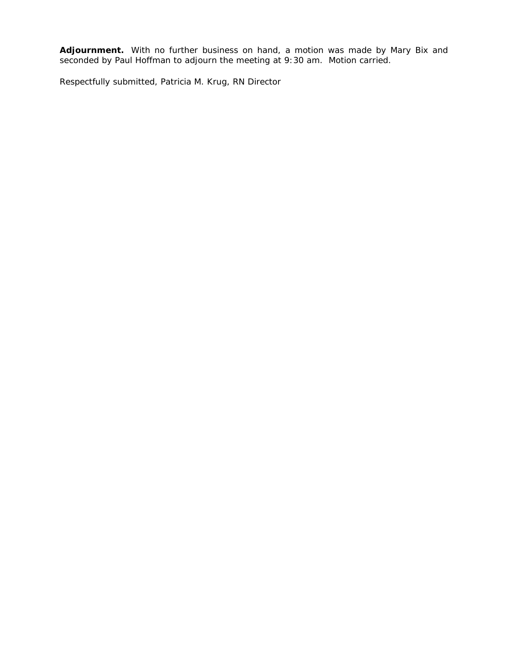**Adjournment.** With no further business on hand, a motion was made by Mary Bix and seconded by Paul Hoffman to adjourn the meeting at 9:30 am. Motion carried.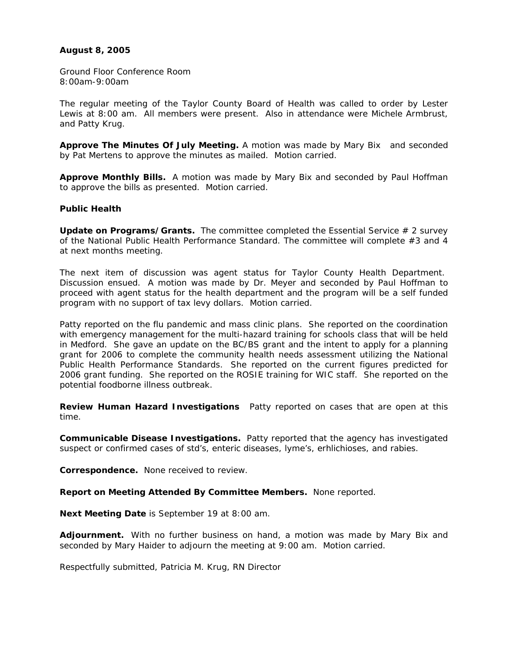## **August 8, 2005**

Ground Floor Conference Room 8:00am-9:00am

The regular meeting of the Taylor County Board of Health was called to order by Lester Lewis at 8:00 am. All members were present. Also in attendance were Michele Armbrust, and Patty Krug.

**Approve The Minutes Of July Meeting.** A motion was made by Mary Bix and seconded by Pat Mertens to approve the minutes as mailed. Motion carried.

**Approve Monthly Bills.** A motion was made by Mary Bix and seconded by Paul Hoffman to approve the bills as presented. Motion carried.

### **Public Health**

**Update on Programs/Grants.** The committee completed the Essential Service # 2 survey of the National Public Health Performance Standard. The committee will complete #3 and 4 at next months meeting.

The next item of discussion was agent status for Taylor County Health Department. Discussion ensued. A motion was made by Dr. Meyer and seconded by Paul Hoffman to proceed with agent status for the health department and the program will be a self funded program with no support of tax levy dollars. Motion carried.

Patty reported on the flu pandemic and mass clinic plans. She reported on the coordination with emergency management for the multi-hazard training for schools class that will be held in Medford. She gave an update on the BC/BS grant and the intent to apply for a planning grant for 2006 to complete the community health needs assessment utilizing the National Public Health Performance Standards. She reported on the current figures predicted for 2006 grant funding. She reported on the ROSIE training for WIC staff. She reported on the potential foodborne illness outbreak.

**Review Human Hazard Investigations** Patty reported on cases that are open at this time.

**Communicable Disease Investigations.** Patty reported that the agency has investigated suspect or confirmed cases of std's, enteric diseases, lyme's, erhlichioses, and rabies.

**Correspondence.** None received to review.

**Report on Meeting Attended By Committee Members.** None reported.

**Next Meeting Date** is September 19 at 8:00 am.

**Adjournment.** With no further business on hand, a motion was made by Mary Bix and seconded by Mary Haider to adjourn the meeting at 9:00 am. Motion carried.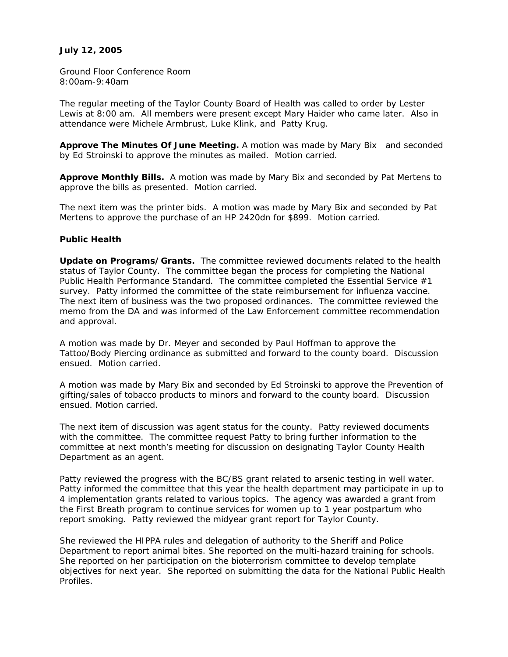## **July 12, 2005**

Ground Floor Conference Room 8:00am-9:40am

The regular meeting of the Taylor County Board of Health was called to order by Lester Lewis at 8:00 am. All members were present except Mary Haider who came later. Also in attendance were Michele Armbrust, Luke Klink, and Patty Krug.

**Approve The Minutes Of June Meeting.** A motion was made by Mary Bix and seconded by Ed Stroinski to approve the minutes as mailed. Motion carried.

**Approve Monthly Bills.** A motion was made by Mary Bix and seconded by Pat Mertens to approve the bills as presented. Motion carried.

The next item was the printer bids. A motion was made by Mary Bix and seconded by Pat Mertens to approve the purchase of an HP 2420dn for \$899. Motion carried.

### **Public Health**

**Update on Programs/Grants.** The committee reviewed documents related to the health status of Taylor County. The committee began the process for completing the National Public Health Performance Standard. The committee completed the Essential Service #1 survey. Patty informed the committee of the state reimbursement for influenza vaccine. The next item of business was the two proposed ordinances. The committee reviewed the memo from the DA and was informed of the Law Enforcement committee recommendation and approval.

A motion was made by Dr. Meyer and seconded by Paul Hoffman to approve the Tattoo/Body Piercing ordinance as submitted and forward to the county board. Discussion ensued. Motion carried.

A motion was made by Mary Bix and seconded by Ed Stroinski to approve the Prevention of gifting/sales of tobacco products to minors and forward to the county board. Discussion ensued. Motion carried.

The next item of discussion was agent status for the county. Patty reviewed documents with the committee. The committee request Patty to bring further information to the committee at next month's meeting for discussion on designating Taylor County Health Department as an agent.

Patty reviewed the progress with the BC/BS grant related to arsenic testing in well water. Patty informed the committee that this year the health department may participate in up to 4 implementation grants related to various topics. The agency was awarded a grant from the First Breath program to continue services for women up to 1 year postpartum who report smoking. Patty reviewed the midyear grant report for Taylor County.

She reviewed the HIPPA rules and delegation of authority to the Sheriff and Police Department to report animal bites. She reported on the multi-hazard training for schools. She reported on her participation on the bioterrorism committee to develop template objectives for next year. She reported on submitting the data for the National Public Health Profiles.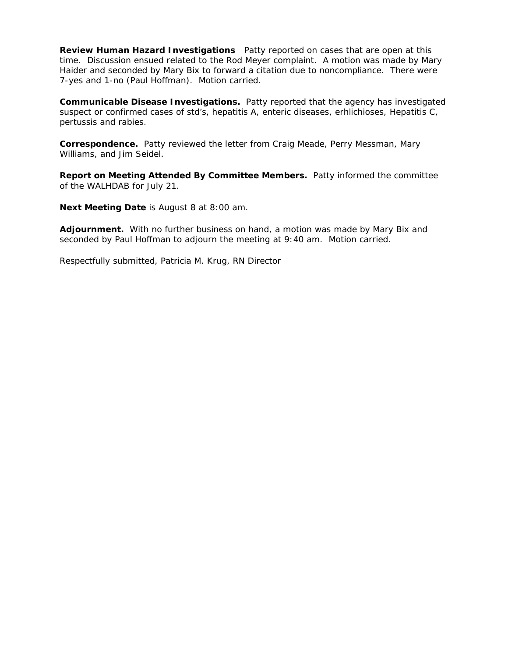**Review Human Hazard Investigations** Patty reported on cases that are open at this time. Discussion ensued related to the Rod Meyer complaint. A motion was made by Mary Haider and seconded by Mary Bix to forward a citation due to noncompliance. There were 7-yes and 1-no (Paul Hoffman). Motion carried.

**Communicable Disease Investigations.** Patty reported that the agency has investigated suspect or confirmed cases of std's, hepatitis A, enteric diseases, erhlichioses, Hepatitis C, pertussis and rabies.

**Correspondence.** Patty reviewed the letter from Craig Meade, Perry Messman, Mary Williams, and Jim Seidel.

**Report on Meeting Attended By Committee Members.** Patty informed the committee of the WALHDAB for July 21.

**Next Meeting Date** is August 8 at 8:00 am.

**Adjournment.** With no further business on hand, a motion was made by Mary Bix and seconded by Paul Hoffman to adjourn the meeting at 9:40 am. Motion carried.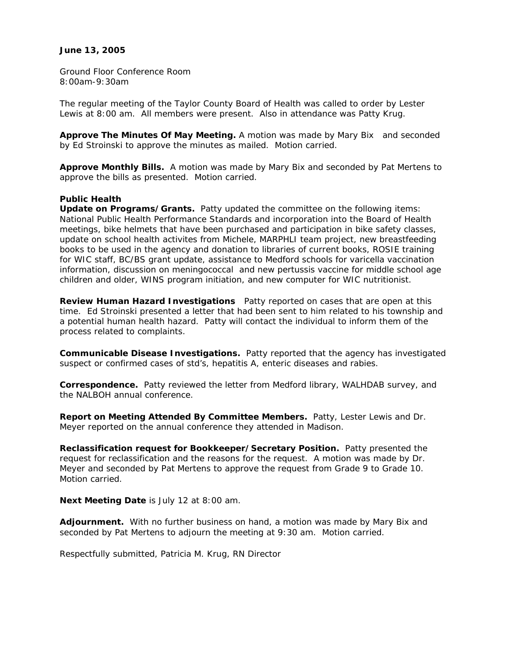### **June 13, 2005**

Ground Floor Conference Room 8:00am-9:30am

The regular meeting of the Taylor County Board of Health was called to order by Lester Lewis at 8:00 am. All members were present. Also in attendance was Patty Krug.

**Approve The Minutes Of May Meeting.** A motion was made by Mary Bix and seconded by Ed Stroinski to approve the minutes as mailed. Motion carried.

**Approve Monthly Bills.** A motion was made by Mary Bix and seconded by Pat Mertens to approve the bills as presented. Motion carried.

#### **Public Health**

**Update on Programs/Grants.** Patty updated the committee on the following items: National Public Health Performance Standards and incorporation into the Board of Health meetings, bike helmets that have been purchased and participation in bike safety classes, update on school health activites from Michele, MARPHLI team project, new breastfeeding books to be used in the agency and donation to libraries of current books, ROSIE training for WIC staff, BC/BS grant update, assistance to Medford schools for varicella vaccination information, discussion on meningococcal and new pertussis vaccine for middle school age children and older, WINS program initiation, and new computer for WIC nutritionist.

**Review Human Hazard Investigations** Patty reported on cases that are open at this time. Ed Stroinski presented a letter that had been sent to him related to his township and a potential human health hazard. Patty will contact the individual to inform them of the process related to complaints.

**Communicable Disease Investigations.** Patty reported that the agency has investigated suspect or confirmed cases of std's, hepatitis A, enteric diseases and rabies.

**Correspondence.** Patty reviewed the letter from Medford library, WALHDAB survey, and the NALBOH annual conference.

**Report on Meeting Attended By Committee Members.** Patty, Lester Lewis and Dr. Meyer reported on the annual conference they attended in Madison.

**Reclassification request for Bookkeeper/Secretary Position.** Patty presented the request for reclassification and the reasons for the request. A motion was made by Dr. Meyer and seconded by Pat Mertens to approve the request from Grade 9 to Grade 10. Motion carried.

**Next Meeting Date** is July 12 at 8:00 am.

**Adjournment.** With no further business on hand, a motion was made by Mary Bix and seconded by Pat Mertens to adjourn the meeting at 9:30 am. Motion carried.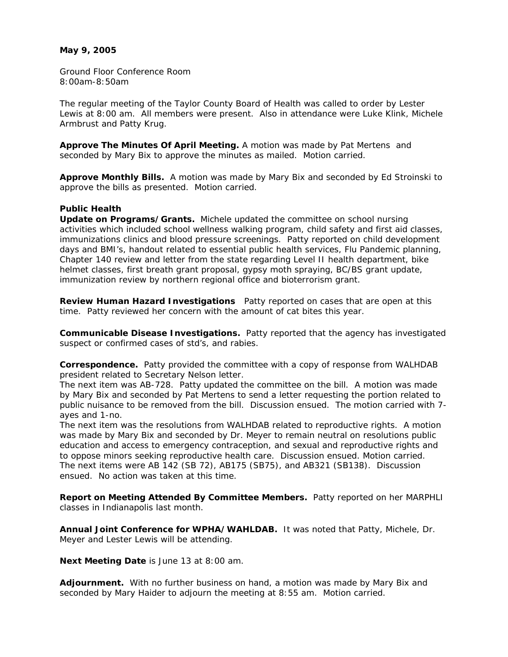### **May 9, 2005**

Ground Floor Conference Room 8:00am-8:50am

The regular meeting of the Taylor County Board of Health was called to order by Lester Lewis at 8:00 am. All members were present. Also in attendance were Luke Klink, Michele Armbrust and Patty Krug.

**Approve The Minutes Of April Meeting.** A motion was made by Pat Mertens and seconded by Mary Bix to approve the minutes as mailed. Motion carried.

**Approve Monthly Bills.** A motion was made by Mary Bix and seconded by Ed Stroinski to approve the bills as presented. Motion carried.

### **Public Health**

**Update on Programs/Grants.** Michele updated the committee on school nursing activities which included school wellness walking program, child safety and first aid classes, immunizations clinics and blood pressure screenings. Patty reported on child development days and BMI's, handout related to essential public health services, Flu Pandemic planning, Chapter 140 review and letter from the state regarding Level II health department, bike helmet classes, first breath grant proposal, gypsy moth spraying, BC/BS grant update, immunization review by northern regional office and bioterrorism grant.

**Review Human Hazard Investigations** Patty reported on cases that are open at this time. Patty reviewed her concern with the amount of cat bites this year.

**Communicable Disease Investigations.** Patty reported that the agency has investigated suspect or confirmed cases of std's, and rabies.

**Correspondence.** Patty provided the committee with a copy of response from WALHDAB president related to Secretary Nelson letter.

The next item was AB-728. Patty updated the committee on the bill. A motion was made by Mary Bix and seconded by Pat Mertens to send a letter requesting the portion related to public nuisance to be removed from the bill. Discussion ensued. The motion carried with 7 ayes and 1-no.

The next item was the resolutions from WALHDAB related to reproductive rights. A motion was made by Mary Bix and seconded by Dr. Meyer to remain neutral on resolutions public education and access to emergency contraception, and sexual and reproductive rights and to oppose minors seeking reproductive health care. Discussion ensued. Motion carried. The next items were AB 142 (SB 72), AB175 (SB75), and AB321 (SB138). Discussion ensued. No action was taken at this time.

**Report on Meeting Attended By Committee Members.** Patty reported on her MARPHLI classes in Indianapolis last month.

**Annual Joint Conference for WPHA/WAHLDAB.** It was noted that Patty, Michele, Dr. Meyer and Lester Lewis will be attending.

**Next Meeting Date** is June 13 at 8:00 am.

**Adjournment.** With no further business on hand, a motion was made by Mary Bix and seconded by Mary Haider to adjourn the meeting at 8:55 am. Motion carried.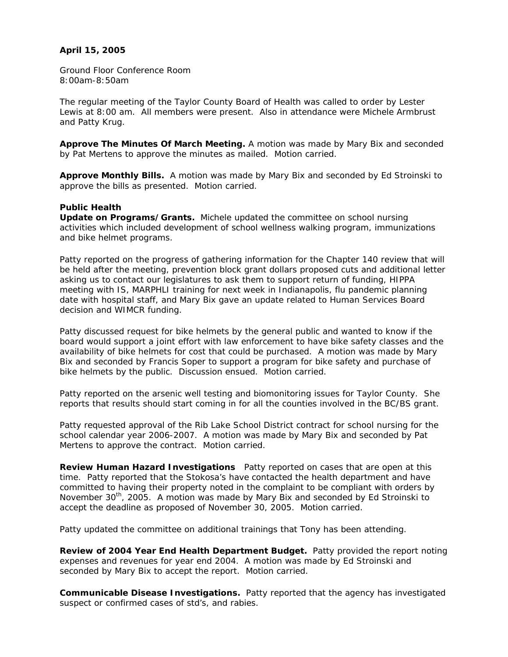# **April 15, 2005**

Ground Floor Conference Room 8:00am-8:50am

The regular meeting of the Taylor County Board of Health was called to order by Lester Lewis at 8:00 am. All members were present. Also in attendance were Michele Armbrust and Patty Krug.

**Approve The Minutes Of March Meeting.** A motion was made by Mary Bix and seconded by Pat Mertens to approve the minutes as mailed. Motion carried.

**Approve Monthly Bills.** A motion was made by Mary Bix and seconded by Ed Stroinski to approve the bills as presented. Motion carried.

### **Public Health**

**Update on Programs/Grants.** Michele updated the committee on school nursing activities which included development of school wellness walking program, immunizations and bike helmet programs.

Patty reported on the progress of gathering information for the Chapter 140 review that will be held after the meeting, prevention block grant dollars proposed cuts and additional letter asking us to contact our legislatures to ask them to support return of funding, HIPPA meeting with IS, MARPHLI training for next week in Indianapolis, flu pandemic planning date with hospital staff, and Mary Bix gave an update related to Human Services Board decision and WIMCR funding.

Patty discussed request for bike helmets by the general public and wanted to know if the board would support a joint effort with law enforcement to have bike safety classes and the availability of bike helmets for cost that could be purchased. A motion was made by Mary Bix and seconded by Francis Soper to support a program for bike safety and purchase of bike helmets by the public. Discussion ensued. Motion carried.

Patty reported on the arsenic well testing and biomonitoring issues for Taylor County. She reports that results should start coming in for all the counties involved in the BC/BS grant.

Patty requested approval of the Rib Lake School District contract for school nursing for the school calendar year 2006-2007. A motion was made by Mary Bix and seconded by Pat Mertens to approve the contract. Motion carried.

**Review Human Hazard Investigations** Patty reported on cases that are open at this time. Patty reported that the Stokosa's have contacted the health department and have committed to having their property noted in the complaint to be compliant with orders by November 30<sup>th</sup>, 2005. A motion was made by Mary Bix and seconded by Ed Stroinski to accept the deadline as proposed of November 30, 2005. Motion carried.

Patty updated the committee on additional trainings that Tony has been attending.

**Review of 2004 Year End Health Department Budget.** Patty provided the report noting expenses and revenues for year end 2004. A motion was made by Ed Stroinski and seconded by Mary Bix to accept the report. Motion carried.

**Communicable Disease Investigations.** Patty reported that the agency has investigated suspect or confirmed cases of std's, and rabies.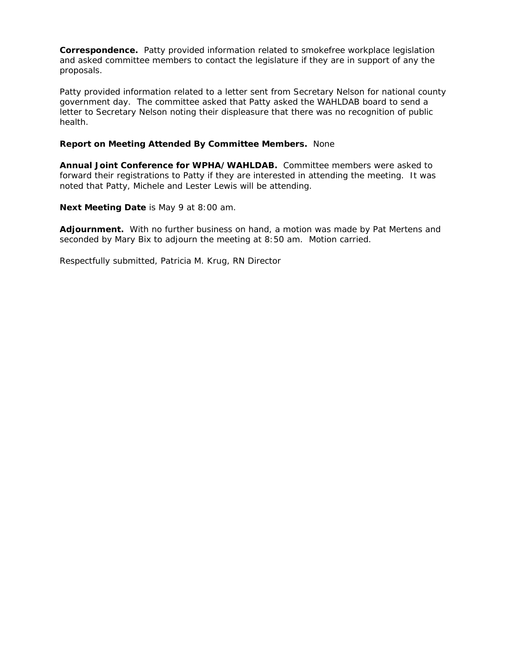**Correspondence.** Patty provided information related to smokefree workplace legislation and asked committee members to contact the legislature if they are in support of any the proposals.

Patty provided information related to a letter sent from Secretary Nelson for national county government day. The committee asked that Patty asked the WAHLDAB board to send a letter to Secretary Nelson noting their displeasure that there was no recognition of public health.

# **Report on Meeting Attended By Committee Members.** None

**Annual Joint Conference for WPHA/WAHLDAB.** Committee members were asked to forward their registrations to Patty if they are interested in attending the meeting. It was noted that Patty, Michele and Lester Lewis will be attending.

**Next Meeting Date** is May 9 at 8:00 am.

**Adjournment.** With no further business on hand, a motion was made by Pat Mertens and seconded by Mary Bix to adjourn the meeting at 8:50 am. Motion carried.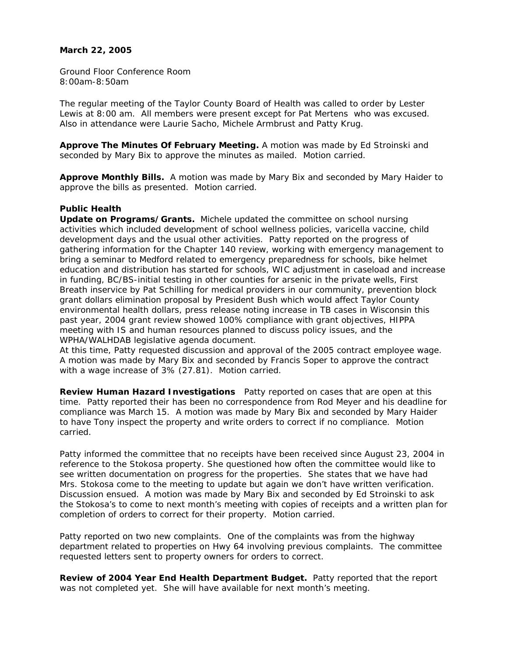### **March 22, 2005**

Ground Floor Conference Room 8:00am-8:50am

The regular meeting of the Taylor County Board of Health was called to order by Lester Lewis at 8:00 am. All members were present except for Pat Mertens who was excused. Also in attendance were Laurie Sacho, Michele Armbrust and Patty Krug.

**Approve The Minutes Of February Meeting.** A motion was made by Ed Stroinski and seconded by Mary Bix to approve the minutes as mailed. Motion carried.

**Approve Monthly Bills.** A motion was made by Mary Bix and seconded by Mary Haider to approve the bills as presented. Motion carried.

#### **Public Health**

**Update on Programs/Grants.** Michele updated the committee on school nursing activities which included development of school wellness policies, varicella vaccine, child development days and the usual other activities. Patty reported on the progress of gathering information for the Chapter 140 review, working with emergency management to bring a seminar to Medford related to emergency preparedness for schools, bike helmet education and distribution has started for schools, WIC adjustment in caseload and increase in funding, BC/BS-initial testing in other counties for arsenic in the private wells, First Breath inservice by Pat Schilling for medical providers in our community, prevention block grant dollars elimination proposal by President Bush which would affect Taylor County environmental health dollars, press release noting increase in TB cases in Wisconsin this past year, 2004 grant review showed 100% compliance with grant objectives, HIPPA meeting with IS and human resources planned to discuss policy issues, and the WPHA/WALHDAB legislative agenda document.

At this time, Patty requested discussion and approval of the 2005 contract employee wage. A motion was made by Mary Bix and seconded by Francis Soper to approve the contract with a wage increase of 3% (27.81). Motion carried.

**Review Human Hazard Investigations** Patty reported on cases that are open at this time. Patty reported their has been no correspondence from Rod Meyer and his deadline for compliance was March 15. A motion was made by Mary Bix and seconded by Mary Haider to have Tony inspect the property and write orders to correct if no compliance. Motion carried.

Patty informed the committee that no receipts have been received since August 23, 2004 in reference to the Stokosa property. She questioned how often the committee would like to see written documentation on progress for the properties. She states that we have had Mrs. Stokosa come to the meeting to update but again we don't have written verification. Discussion ensued. A motion was made by Mary Bix and seconded by Ed Stroinski to ask the Stokosa's to come to next month's meeting with copies of receipts and a written plan for completion of orders to correct for their property. Motion carried.

Patty reported on two new complaints. One of the complaints was from the highway department related to properties on Hwy 64 involving previous complaints. The committee requested letters sent to property owners for orders to correct.

**Review of 2004 Year End Health Department Budget.** Patty reported that the report was not completed yet. She will have available for next month's meeting.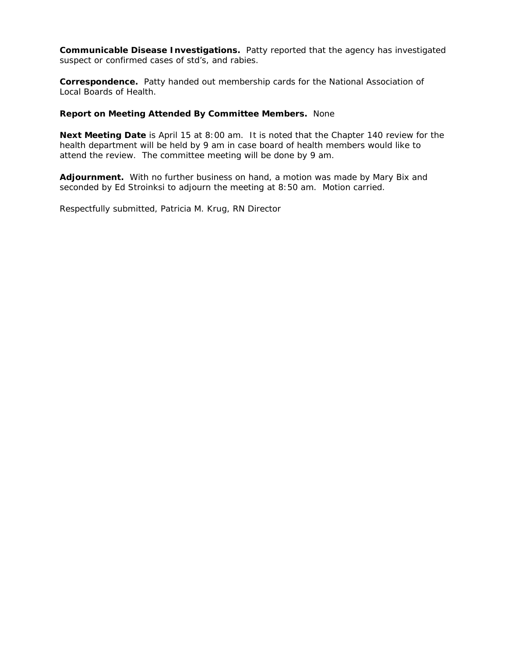**Communicable Disease Investigations.** Patty reported that the agency has investigated suspect or confirmed cases of std's, and rabies.

**Correspondence.** Patty handed out membership cards for the National Association of Local Boards of Health.

## **Report on Meeting Attended By Committee Members.** None

**Next Meeting Date** is April 15 at 8:00 am. It is noted that the Chapter 140 review for the health department will be held by 9 am in case board of health members would like to attend the review. The committee meeting will be done by 9 am.

**Adjournment.** With no further business on hand, a motion was made by Mary Bix and seconded by Ed Stroinksi to adjourn the meeting at 8:50 am. Motion carried.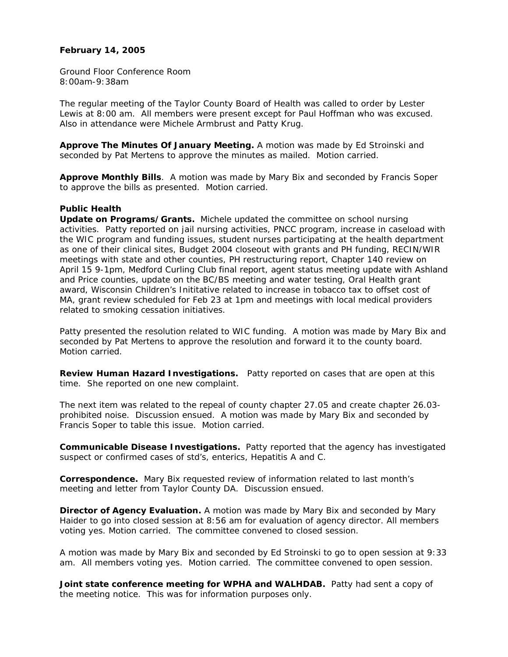### **February 14, 2005**

Ground Floor Conference Room 8:00am-9:38am

The regular meeting of the Taylor County Board of Health was called to order by Lester Lewis at 8:00 am. All members were present except for Paul Hoffman who was excused. Also in attendance were Michele Armbrust and Patty Krug.

**Approve The Minutes Of January Meeting.** A motion was made by Ed Stroinski and seconded by Pat Mertens to approve the minutes as mailed. Motion carried.

**Approve Monthly Bills**. A motion was made by Mary Bix and seconded by Francis Soper to approve the bills as presented. Motion carried.

### **Public Health**

**Update on Programs/Grants.** Michele updated the committee on school nursing activities. Patty reported on jail nursing activities, PNCC program, increase in caseload with the WIC program and funding issues, student nurses participating at the health department as one of their clinical sites, Budget 2004 closeout with grants and PH funding, RECIN/WIR meetings with state and other counties, PH restructuring report, Chapter 140 review on April 15 9-1pm, Medford Curling Club final report, agent status meeting update with Ashland and Price counties, update on the BC/BS meeting and water testing, Oral Health grant award, Wisconsin Children's Inititative related to increase in tobacco tax to offset cost of MA, grant review scheduled for Feb 23 at 1pm and meetings with local medical providers related to smoking cessation initiatives.

Patty presented the resolution related to WIC funding. A motion was made by Mary Bix and seconded by Pat Mertens to approve the resolution and forward it to the county board. Motion carried.

**Review Human Hazard Investigations.** Patty reported on cases that are open at this time. She reported on one new complaint.

The next item was related to the repeal of county chapter 27.05 and create chapter 26.03 prohibited noise. Discussion ensued. A motion was made by Mary Bix and seconded by Francis Soper to table this issue. Motion carried.

**Communicable Disease Investigations.** Patty reported that the agency has investigated suspect or confirmed cases of std's, enterics, Hepatitis A and C.

**Correspondence.** Mary Bix requested review of information related to last month's meeting and letter from Taylor County DA. Discussion ensued.

**Director of Agency Evaluation.** A motion was made by Mary Bix and seconded by Mary Haider to go into closed session at 8:56 am for evaluation of agency director. All members voting yes. Motion carried. The committee convened to closed session.

A motion was made by Mary Bix and seconded by Ed Stroinski to go to open session at 9:33 am. All members voting yes. Motion carried. The committee convened to open session.

**Joint state conference meeting for WPHA and WALHDAB.** Patty had sent a copy of the meeting notice. This was for information purposes only.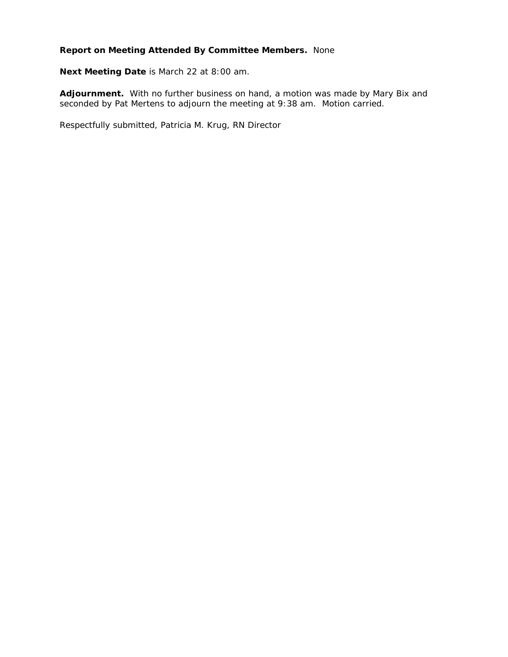# **Report on Meeting Attended By Committee Members.** None

**Next Meeting Date** is March 22 at 8:00 am.

**Adjournment.** With no further business on hand, a motion was made by Mary Bix and seconded by Pat Mertens to adjourn the meeting at 9:38 am. Motion carried.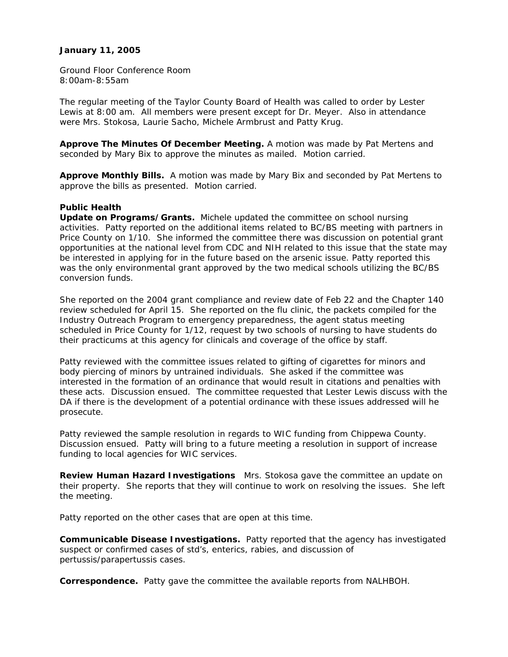## **January 11, 2005**

Ground Floor Conference Room 8:00am-8:55am

The regular meeting of the Taylor County Board of Health was called to order by Lester Lewis at 8:00 am. All members were present except for Dr. Meyer. Also in attendance were Mrs. Stokosa, Laurie Sacho, Michele Armbrust and Patty Krug.

**Approve The Minutes Of December Meeting.** A motion was made by Pat Mertens and seconded by Mary Bix to approve the minutes as mailed. Motion carried.

**Approve Monthly Bills.** A motion was made by Mary Bix and seconded by Pat Mertens to approve the bills as presented. Motion carried.

### **Public Health**

**Update on Programs/Grants.** Michele updated the committee on school nursing activities. Patty reported on the additional items related to BC/BS meeting with partners in Price County on 1/10. She informed the committee there was discussion on potential grant opportunities at the national level from CDC and NIH related to this issue that the state may be interested in applying for in the future based on the arsenic issue. Patty reported this was the only environmental grant approved by the two medical schools utilizing the BC/BS conversion funds.

She reported on the 2004 grant compliance and review date of Feb 22 and the Chapter 140 review scheduled for April 15. She reported on the flu clinic, the packets compiled for the Industry Outreach Program to emergency preparedness, the agent status meeting scheduled in Price County for 1/12, request by two schools of nursing to have students do their practicums at this agency for clinicals and coverage of the office by staff.

Patty reviewed with the committee issues related to gifting of cigarettes for minors and body piercing of minors by untrained individuals. She asked if the committee was interested in the formation of an ordinance that would result in citations and penalties with these acts. Discussion ensued. The committee requested that Lester Lewis discuss with the DA if there is the development of a potential ordinance with these issues addressed will he prosecute.

Patty reviewed the sample resolution in regards to WIC funding from Chippewa County. Discussion ensued. Patty will bring to a future meeting a resolution in support of increase funding to local agencies for WIC services.

**Review Human Hazard Investigations** Mrs. Stokosa gave the committee an update on their property. She reports that they will continue to work on resolving the issues. She left the meeting.

Patty reported on the other cases that are open at this time.

**Communicable Disease Investigations.** Patty reported that the agency has investigated suspect or confirmed cases of std's, enterics, rabies, and discussion of pertussis/parapertussis cases.

**Correspondence.** Patty gave the committee the available reports from NALHBOH.